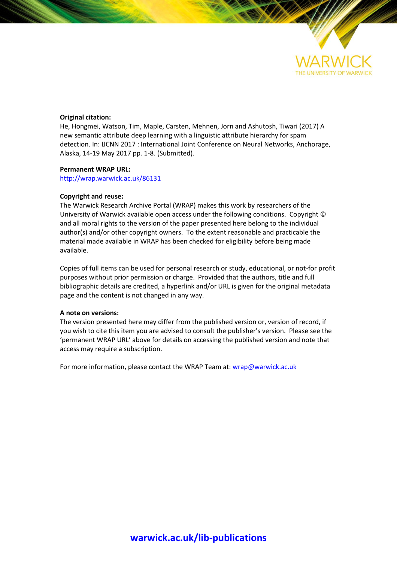

## **Original citation:**

He, Hongmei, Watson, Tim, Maple, Carsten, Mehnen, Jorn and Ashutosh, Tiwari (2017) A new semantic attribute deep learning with a linguistic attribute hierarchy for spam detection. In: IJCNN 2017 : International Joint Conference on Neural Networks, Anchorage, Alaska, 14-19 May 2017 pp. 1-8. (Submitted).

## **Permanent WRAP URL:**

<http://wrap.warwick.ac.uk/86131>

## **Copyright and reuse:**

The Warwick Research Archive Portal (WRAP) makes this work by researchers of the University of Warwick available open access under the following conditions. Copyright © and all moral rights to the version of the paper presented here belong to the individual author(s) and/or other copyright owners. To the extent reasonable and practicable the material made available in WRAP has been checked for eligibility before being made available.

Copies of full items can be used for personal research or study, educational, or not-for profit purposes without prior permission or charge. Provided that the authors, title and full bibliographic details are credited, a hyperlink and/or URL is given for the original metadata page and the content is not changed in any way.

## **A note on versions:**

The version presented here may differ from the published version or, version of record, if you wish to cite this item you are advised to consult the publisher's version. Please see the 'permanent WRAP URL' above for details on accessing the published version and note that access may require a subscription.

For more information, please contact the WRAP Team at[: wrap@warwick.ac.uk](mailto:wrap@warwick.ac.uk)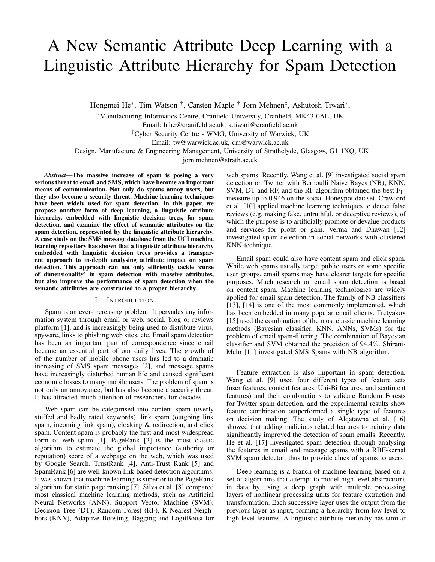# A New Semantic Attribute Deep Learning with a Linguistic Attribute Hierarchy for Spam Detection

Hongmei He*<sup>∗</sup>* , Tim Watson † , Carsten Maple † Jörn Mehnen‡ , Ashutosh Tiwari*<sup>∗</sup>* , ,

*<sup>∗</sup>*Manufacturing Informatics Centre, Cranfield University, Cranfield, MK43 0AL, UK

Email: h.he@cranifeld.ac.uk, a.tiwari@cranfield.ac.uk

‡Cyber Security Centre - WMG, University of Warwick, UK

Email: tw@warwick.ac.uk, cm@warwick.ac.uk

†Design, Manufacture & Engineering Management, University of Strathclyde, Glasgow, G1 1XQ, UK

jorn.mehnen@strath.ac.uk

*Abstract*—The massive increase of spam is posing a very serious threat to email and SMS, which have become an important means of communication. Not only do spams annoy users, but they also become a security threat. Machine learning techniques have been widely used for spam detection. In this paper, we propose another form of deep learning, a linguistic attribute hierarchy, embedded with linguistic decision trees, for spam detection, and examine the effect of semantic attributes on the spam detection, represented by the linguistic attribute hierarchy. A case study on the SMS message database from the UCI machine learning repository has shown that a linguistic attribute hierarchy embedded with linguistic decision trees provides a transparent approach to in-depth analysing attribute impact on spam detection. This approach can not only efficiently tackle 'curse of dimensionality' in spam detection with massive attributes, but also improve the performance of spam detection when the semantic attributes are constructed to a proper hierarchy.

### I. INTRODUCTION

Spam is an ever-increasing problem. It pervades any information system through email or web, social, blog or reviews platform [1], and is increasingly being used to distribute virus, spyware, links to phishing web sites, etc. Email spam detection has been an important part of correspondence since email became an essential part of our daily lives. The growth of of the number of mobile phone users has led to a dramatic increasing of SMS spam messages [2], and message spams have increasingly disturbed human life and caused significant economic losses to many mobile users. The problem of spam is not only an annoyance, but has also become a security threat. It has attracted much attention of researchers for decades.

Web spam can be categorised into content spam (overly stuffed and badly rated keywords), link spam (outgoing link spam, incoming link spam), cloaking & redirection, and click spam. Content spam is probably the first and most widespread form of web spam [1]. PageRank [3] is the most classic algorithm to estimate the global importance (authority or reputation) score of a webpage on the web, which was used by Google Search. TrustRank [4], Anti-Trust Rank [5] and SpamRank [6] are well-known link-based detection algorithms. It was shown that machine learning is superior to the PageRank algorithm for static page ranking [7]. Silva et al. [8] compared most classical machine learning methods, such as Artificial Neural Networks (ANN), Support Vector Machine (SVM), Decision Tree (DT), Random Forest (RF), K-Nearest Neighbors (KNN), Adaptive Boosting, Bagging and LogitBoost for web spams. Recently, Wang et al. [9] investigated social spam detection on Twitter with Bernoulli Naive Bayes (NB), KNN, SVM, DT and RF, and the RF algorithm obtained the best  $F_1$ measure up to 0.946 on the social Honeypot dataset. Crawford et al. [10] applied machine learning techniques to detect false reviews (e.g. making fake, untruthful, or deceptive reviews), of which the purpose is to artificially promote or devalue products and services for profit or gain. Verma and Dhawan [12] investigated spam detection in social networks with clustered KNN technique.

Email spam could also have content spam and click spam. While web spams usually target public users or some specific user groups, email spams may have clearer targets for specific purposes. Much research on email spam detection is based on content spam. Machine learning technologies are widely applied for email spam detection. The family of NB classifiers [13], [14] is one of the most commonly implemented, which has been embedded in many popular email clients. Tretyakov [15] used the combination of the most classic machine learning methods (Bayesian classifier, KNN, ANNs, SVMs) for the problem of email spam-filtering. The combination of Bayesian classifier and SVM obtained the precision of 94.4%. Shirani-Mehr [11] investigated SMS Spams with NB algorithm.

Feature extraction is also important in spam detection. Wang et al. [9] used four different types of feature sets (user features, content features, Uni-Bi features, and sentiment features) and their combinations to validate Random Forests for Twitter spam detection, and the experimental results show feature combination outperformed a single type of features on decision making. The study of Alqatawna et al. [16] showed that adding malicious related features to training data significantly improved the detection of spam emails. Recently, He et al. [17] investigated spam detection through analysing the features in email and message spams with a RBF-kernal SVM spam detector, thus to provide clues of spams to users.

Deep learning is a branch of machine learning based on a set of algorithms that attempt to model high level abstractions in data by using a deep graph with multiple processing layers of nonlinear processing units for feature extraction and transformation. Each successive layer uses the output from the previous layer as input, forming a hierarchy from low-level to high-level features. A linguistic attribute hierarchy has similar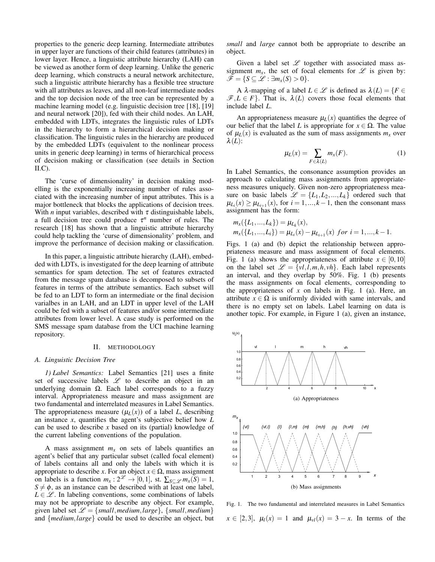properties to the generic deep learning. Intermediate attributes in upper layer are functions of their child features (attributes) in lower layer. Hence, a linguistic attribute hierarchy (LAH) can be viewed as another form of deep learning. Unlike the generic deep learning, which constructs a neural network architecture, such a linguistic attribute hierarchy has a flexible tree structure with all attributes as leaves, and all non-leaf intermediate nodes and the top decision node of the tree can be represented by a machine learning model (e.g. linguistic decision tree [18], [19] and neural network [20]), fed with their child nodes. An LAH, embedded with LDTs, integrates the linguistic rules of LDTs in the hierarchy to form a hierarchical decision making or classification. The linguistic rules in the hierarchy are produced by the embedded LDTs (equivalent to the nonlinear process units in generic deep learning) in terms of hierarchical process of decision making or classification (see details in Section  $II.C$ ).

The 'curse of dimensionality' in decision making modelling is the exponentially increasing number of rules associated with the increasing number of input attributes. This is a major bottleneck that blocks the applications of decision trees. With *n* input variables, described with  $\tau$  distinguishable labels, a full decision tree could produce  $\tau^n$  number of rules. The research [18] has shown that a linguistic attribute hierarchy could help tackling the 'curse of dimensionality' problem, and improve the performance of decision making or classification.

In this paper, a linguistic attribute hierarchy (LAH), embedded with LDTs, is investigated for the deep learning of attribute semantics for spam detection. The set of features extracted from the message spam database is decomposed to subsets of features in terms of the attribute semantics. Each subset will be fed to an LDT to form an intermediate or the final decision varialbes in an LAH, and an LDT in upper level of the LAH could be fed with a subset of features and/or some intermediate attributes from lower level. A case study is performed on the SMS message spam database from the UCI machine learning repository.

#### II. METHODOLOGY

#### *A. Linguistic Decision Tree*

*1) Label Semantics:* Label Semantics [21] uses a finite set of successive labels *L* to describe an object in an underlying domain  $Ω$ . Each label corresponds to a fuzzy interval. Appropriateness measure and mass assignment are two fundamental and interrelated measures in Label Semantics. The appropriateness measure  $(\mu_L(x))$  of a label *L*, describing an instance *x*, quantifies the agent's subjective belief how *L* can be used to describe *x* based on its (partial) knowledge of the current labeling conventions of the population.

A mass assignment  $m<sub>x</sub>$  on sets of labels quantifies an agent's belief that any particular subset (called focal element) of labels contains all and only the labels with which it is appropriate to describe *x*. For an object  $x \in \Omega$ , mass assignment on labels is a function  $m_x : 2^{\mathscr{L}} \to [0,1]$ , st.  $\sum_{S \subseteq \mathscr{L}} m_x(S) = 1$ ,  $S \neq \phi$ , as an instance can be described with at least one label,  $L \in \mathcal{L}$ . In labeling conventions, some combinations of labels may not be appropriate to describe any object. For example, given label set  $\mathcal{L} = \{small, *small, medium, large* \}$ ,  $\{small, *small, medium* \}$ and *{medium,large}* could be used to describe an object, but *small* and *large* cannot both be appropriate to describe an object.

Given a label set  $L$  together with associated mass assignment  $m_x$ , the set of focal elements for  $\mathscr L$  is given by:  $\mathscr{F} = \{ S \subseteq \mathscr{L} : \exists m_x(S) > 0 \}.$ 

A  $\lambda$ -mapping of a label  $L \in \mathcal{L}$  is defined as  $\lambda(L) = \{F \in \mathcal{L} \mid \lambda \in \mathcal{L} \}$  $\mathscr{F}, L \in F$ . That is,  $\lambda(L)$  covers those focal elements that include label *L*.

An appropriateness measure  $\mu_L(x)$  quantifies the degree of our belief that the label *L* is appropriate for  $x \in \Omega$ . The value of  $\mu_L(x)$  is evaluated as the sum of mass assignments  $m_x$  over  $\lambda(L)$ :

$$
\mu_L(x) = \sum_{F \in \lambda(L)} m_x(F). \tag{1}
$$

In Label Semantics, the consonance assumption provides an approach to calculating mass assignments from appropriateness measures uniquely. Given non-zero appropriateness measure on basic labels  $\mathcal{L} = \{L_1, L_2, ..., L_k\}$  ordered such that  $\mu_{L_i}(x) \geq \mu_{L_{i+1}}(x)$ , for  $i = 1, ..., k-1$ , then the consonant mass assignment has the form:

$$
m_x({L_1,...,L_k}) = \mu_{L_k}(x),
$$
  
\n
$$
m_x({L_1,...,L_i}) = \mu_{L_i}(x) - \mu_{L_{i+1}}(x) \text{ for } i = 1,...,k-1.
$$

Figs. 1 (a) and (b) depict the relationship between appropriateness measure and mass assignment of focal elements. Fig. 1 (a) shows the appropriateness of attribute  $x \in [0, 10]$ on the label set  $\mathcal{L} = \{vl, l, m, h, vh\}$ . Each label represents an interval, and they overlap by 50%. Fig. 1 (b) presents the mass assignments on focal elements, corresponding to the appropriateness of *x* on labels in Fig. 1 (a). Here, an attribute  $x \in \Omega$  is uniformly divided with same intervals, and there is no empty set on labels. Label learning on data is another topic. For example, in Figure 1 (a), given an instance,



Fig. 1. The two fundamental and interrelated measures in Label Semantics  $x \in [2,3], \mu_1(x) = 1$  and  $\mu_{vl}(x) = 3 - x$ . In terms of the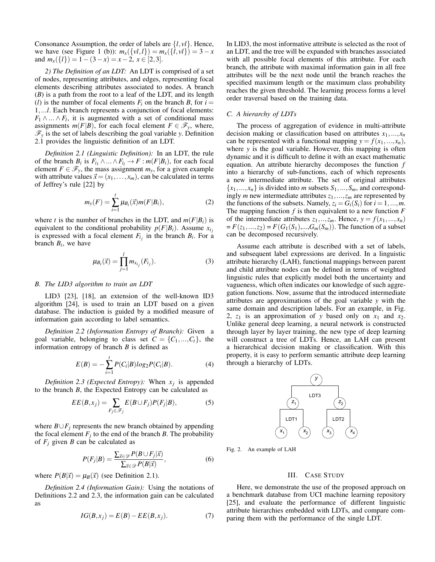Consonance Assumption, the order of labels are *{l, vl}*. Hence, we have (see Figure 1 (b)):  $m_x({\{v_l, l\}}) = m_x({\{l, v_l\}}) = 3 - x$ and  $m_x({l}) = 1 - (3 - x) = x - 2, x \in [2, 3].$ 

*2) The Definition of an LDT:* An LDT is comprised of a set of nodes, representing attributes, and edges, representing focal elements describing attributes associated to nodes. A branch (*B*) is a path from the root to a leaf of the LDT, and its length (*l*) is the number of focal elements  $F_i$  on the branch  $B$ , for  $i =$ 1*,...l*. Each branch represents a conjunction of focal elements:  $F_1 \wedge \ldots \wedge F_l$ , it is augmented with a set of conditional mass assignments  $m(F|B)$ , for each focal element  $F \in \mathcal{F}_y$ , where,  $\mathscr{F}_y$  is the set of labels describing the goal variable *y*. Definition 2.1 provides the linguistic definition of an LDT.

*Definition 2.1 (Linguistic Definition):* In an LDT, the rule of the branch  $B_i$  is  $F_{i_1} \wedge \ldots \wedge F_{i_l} \rightarrow F : m(F|B_i)$ , for each focal element  $F \in \mathcal{F}_y$ , the mass assignment  $m_y$ , for a given example with attribute values  $\vec{x} = (x_1, \ldots, x_m)$ , can be calculated in terms of Jeffrey's rule [22] by

$$
m_{y}(F) = \sum_{i=1}^{t} \mu_{B_i}(\vec{x}) m(F|B_i),
$$
 (2)

where *t* is the number of branches in the LDT, and  $m(F|B_i)$  is equivalent to the conditional probability  $p(F|B_i)$ . Assume  $x_i$ is expressed with a focal element  $F_{i_j}$  in the branch  $B_i$ . For a branch  $B_i$ , we have

$$
\mu_{B_i}(\vec{x}) = \prod_{j=1}^l m_{x_{i_j}}(F_{i_j}).
$$
\n(3)

#### *B. The LID3 algorithm to train an LDT*

LID3 [23], [18], an extension of the well-known ID3 algorithm [24], is used to train an LDT based on a given database. The induction is guided by a modified measure of information gain according to label semantics.

*Definition 2.2 (Information Entropy of Branch):* Given a goal variable, belonging to class set  $C = \{C_1, ..., C_t\}$ , the information entropy of branch *B* is defined as

$$
E(B) = -\sum_{i=1}^{t} P(C_i|B)log_2 P(C_i|B).
$$
 (4)

*Definition 2.3 (Expected Entropy):* When  $x_j$  is appended to the branch *B*, the Expected Entropy can be calculated as

$$
EE(B,x_j) = \sum_{F_j \in \mathcal{F}_j} E(B \cup F_j) P(F_j|B),\tag{5}
$$

where  $B \cup F_i$  represents the new branch obtained by appending the focal element  $F_j$  to the end of the branch *B*. The probability of  $F_i$  given *B* can be calculated as

$$
P(F_j|B) = \frac{\sum_{\vec{x} \in \mathcal{D}} P(B \cup F_j|\vec{x})}{\sum_{\vec{x} \in \mathcal{D}} P(B|\vec{x})},\tag{6}
$$

where  $P(B|\vec{x}) = \mu_B(\vec{x})$  (see Definition 2.1).

*Definition 2.4 (Information Gain):* Using the notations of Definitions 2.2 and 2.3, the information gain can be calculated as

$$
IG(B, x_j) = E(B) - EE(B, x_j). \tag{7}
$$

In LID3, the most informative attribute is selected as the root of an LDT, and the tree will be expanded with branches associated with all possible focal elements of this attribute. For each branch, the attribute with maximal information gain in all free attributes will be the next node until the branch reaches the specified maximum length or the maximum class probability reaches the given threshold. The learning process forms a level order traversal based on the training data.

#### *C. A hierarchy of LDTs*

The process of aggregation of evidence in multi-attribute decision making or classification based on attributes  $x_1, \ldots, x_n$ can be represented with a functional mapping  $y = f(x_1, \ldots, x_n)$ , where *y* is the goal variable. However, this mapping is often dynamic and it is difficult to define it with an exact mathematic equation. An attribute hierarchy decomposes the function *f* into a hierarchy of sub-functions, each of which represents a new intermediate attribute. The set of original attributes  ${x_1, ..., x_n}$  is divided into *m* subsets  $S_1, ..., S_m$ , and correspondingly *m* new intermediate attributes *z*1*,...,z<sup>m</sup>* are represented by the functions of the subsets. Namely,  $z_i = G_i(S_i)$  for  $i = 1, ..., m$ . The mapping function *f* is then equivalent to a new function *F* of the intermediate attributes  $z_1, \ldots, z_m$ . Hence,  $y = f(x_1, \ldots, x_n)$  $F = F(z_1, ..., z_2) = F(G_1(S_1), ..., G_m(S_m))$ . The function of a subset can be decomposed recursively.

Assume each attribute is described with a set of labels, and subsequent label expressions are derived. In a linguistic attribute hierarchy (LAH), functional mappings between parent and child attribute nodes can be defined in terms of weighted linguistic rules that explicitly model both the uncertainty and vagueness, which often indicates our knowledge of such aggregation functions. Now, assume that the introduced intermediate attributes are approximations of the goal variable *y* with the same domain and description labels. For an example, in Fig. 2,  $z_1$  is an approximation of *y* based only on  $x_1$  and  $x_2$ . Unlike general deep learning, a neural network is constructed through layer by layer training, the new type of deep learning will construct a tree of LDTs. Hence, an LAH can present a hierarchical decision making or classification. With this property, it is easy to perform semantic attribute deep learning through a hierarchy of LDTs.



Fig. 2. An example of LAH

#### III. CASE STUDY

Here, we demonstrate the use of the proposed approach on a benchmark database from UCI machine learning repository [25], and evaluate the performance of different linguistic attribute hierarchies embedded with LDTs, and compare comparing them with the performance of the single LDT.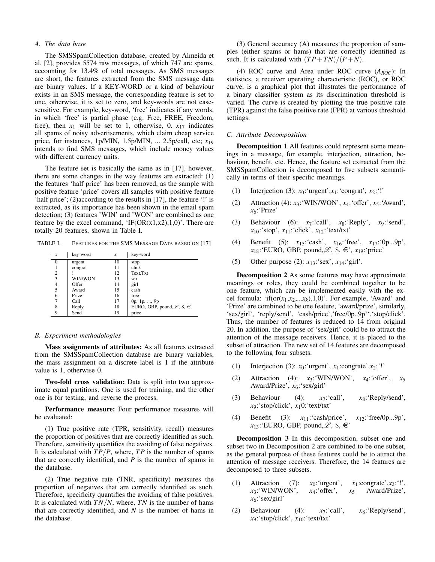#### *A. The data base*

The SMSSpamCollection database, created by Almeida et al. [2], provides 5574 raw messages, of which 747 are spams, accounting for 13.4% of total messages. As SMS messages are short, the features extracted from the SMS message data are binary values. If a KEY-WORD or a kind of behaviour exists in an SMS message, the corresponding feature is set to one, otherwise, it is set to zero, and key-words are not casesensitive. For example, key-word, 'free' indicates if any words, in which 'free' is partial phase (e.g. Free, FREE, Freedom, free), then  $x_1$  will be set to 1, otherwise, 0.  $x_{17}$  indicates all spams of noisy advertisements, which claim cheap service price, for instances, 1p/MIN, 1.5p/MIN, ... 2.5p/call, etc; *x*<sup>19</sup> intends to find SMS messages, which include money values with different currency units.

The feature set is basically the same as in [17], however, there are some changes in the way features are extracted: (1) the features 'half price' has been removed, as the sample with positive feature 'price' covers all samples with positive feature 'half price'; (2)according to the results in [17], the feature '!' is extracted, as its importance has been shown in the email spam detection; (3) features 'WIN' and 'WON' are combined as one feature by the excel command, ' $IF(OR(x1,x2),1,0)$ '. There are totally 20 features, shown in Table I.

TABLE I. FEATURES FOR THE SMS MESSAGE DATA BASED ON [17]

| $\boldsymbol{x}$ | key word | x  | key-word                                    |
|------------------|----------|----|---------------------------------------------|
| $\overline{0}$   | urgent   | 10 | stop                                        |
|                  | congrat  | 11 | click                                       |
| $\overline{c}$   |          | 12 | Text, Txt                                   |
| 3                | WIN/WON  | 13 | sex                                         |
| 4                | Offer    | 14 | girl                                        |
| 5                | Award    | 15 | cash                                        |
| 6                | Prize    | 16 | free                                        |
| 7                | Call     | 17 | 0p, 1p, , 9p                                |
| 8                | Reply    | 18 | EURO, GBP, pound, $\mathscr{L}$ , \$, $\in$ |
| 9                | Send     | 19 | price                                       |

#### *B. Experiment methodologies*

Mass assignments of attributes: As all features extracted from the SMSSpamCollection database are binary variables, the mass assignment on a discrete label is 1 if the attribute value is 1, otherwise 0.

Two-fold cross validation: Data is split into two approximate equal partitions. One is used for training, and the other one is for testing, and reverse the process.

Performance measure: Four performance measures will be evaluated:

(1) True positive rate (TPR, sensitivity, recall) measures the proportion of positives that are correctly identified as such. Therefore, sensitivity quantifies the avoiding of false negatives. It is calculated with  $TP/P$ , where,  $TP$  is the number of spams that are correctly identified, and *P* is the number of spams in the database.

(2) True negative rate (TNR, specificity) measures the proportion of negatives that are correctly identified as such. Therefore, specificity quantifies the avoiding of false positives. It is calculated with *TN/N*, where, *TN* is the number of hams that are correctly identified, and *N* is the number of hams in the database.

(3) General accuracy (A) measures the proportion of samples (either spams or hams) that are correctly identified as such. It is calculated with  $(TP+TN)/(P+N)$ .

(4) ROC curve and Area under ROC curve (*AROC*): In statistics, a receiver operating characteristic (ROC), or ROC curve, is a graphical plot that illustrates the performance of a binary classifier system as its discrimination threshold is varied. The curve is created by plotting the true positive rate (TPR) against the false positive rate (FPR) at various threshold settings.

#### *C. Attribute Decomposition*

Decomposition 1 All features could represent some meanings in a message, for example, interjection, attraction, behaviour, benefit, etc. Hence, the feature set extracted from the SMSSpamCollection is decomposed to five subsets semantically in terms of their specific meanings.

- (1) Interjection (3):  $x_0$ : 'urgent', $x_1$ : 'congrat',  $x_2$ : '!'
- (2) Attraction (4): *x*3:'WIN/WON', *x*4:'offer', *x*5:'Award', *x*6:'Prize'
- (3) Behaviour (6): *x*7:'call', *x*8:'Reply', *x*9:'send', *x*10:'stop', *x*11:'click', *x*12:'text/txt'
- (4) Benefit (5): *x*15:'cash', *x*16:'free', *x*17:'0p...9p', *x*<sub>18</sub>: EURO, GBP, pound,  $\mathscr{L}$ ,  $\hat{\mathbf{s}}$ ,  $\in$ ',  $x_{19}$ : 'price'
- (5) Other purpose (2):  $x_{13}$ : 'sex',  $x_{14}$ : 'girl'.

Decomposition 2 As some features may have approximate meanings or roles, they could be combined together to be one feature, which can be implemented easily with the excel formula: 'if(or( $x_1, x_2,...x_k$ ),1,0)'. For example, 'Award' and 'Prize' are combined to be one feature, 'award/prize', similarly, 'sex/girl', 'reply/send', 'cash/price','free/0p..9p'','stop/click'. Thus, the number of features is reduced to 14 from original 20. In addition, the purpose of 'sex/girl' could be to attract the attention of the message receivers. Hence, it is placed to the subset of attraction. The new set of 14 features are decomposed to the following four subsets.

- (1) Interjection (3):  $x_0$ : 'urgent',  $x_1$ : congrate', $x_2$ : '!'
- (2) Attraction (4): *x*3:'WIN/WON', *x*4:'offer', *x*<sup>5</sup> Award/Prize',  $x_6$ :'sex/girl'
- (3) Behaviour (4): *x*7:'call', *x*8:'Reply/send', *x*9:'stop/click', *x*10:'text/txt'
- (4) Benefit (3): *x*11:'cash/price', *x*12:'free/0p...9p', *x*<sub>13</sub>: EURO, GBP, pound,  $\mathscr{L}$ ,  $\$\$ ,  $\in$ '

Decomposition 3 In this decomposition, subset one and subset two in Decomposition 2 are combined to be one subset, as the general purpose of these features could be to attract the attention of message receivers. Therefore, the 14 features are decomposed to three subsets.

- (1) Attraction (7):  $x_0$ :'urgent',  $x_1$ :congrate', $x_2$ :'!',<br> $x_3$ :'WIN/WON',  $x_4$ :'offer',  $x_5$  Award/Prize', *x*<sub>3</sub>:'WIN/WON', *x*6:'sex/girl'
- (2) Behaviour (4):  $x_7$ : call',  $x_8$ : 'Reply/send', *x*9:'stop/click', *x*10:'text/txt'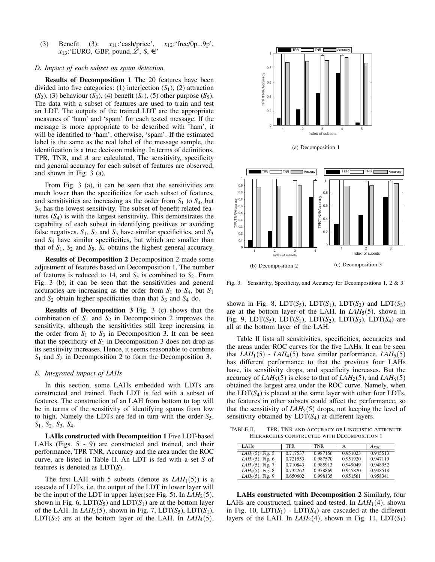(3) Benefit (3): *x*11:'cash/price', *x*12:'free/0p...9p', *x*<sub>13</sub>: EURO, GBP, pound,  $\mathscr{L}$ ,  $\$\$ ,  $\in$ 

#### *D. Impact of each subset on spam detection*

Results of Decomposition 1 The 20 features have been divided into five categories: (1) interjection  $(S_1)$ , (2) attraction  $(S_2)$ , (3) behaviour  $(S_3)$ , (4) benefit  $(S_4)$ , (5) other purpose  $(S_5)$ . The data with a subset of features are used to train and test an LDT. The outputs of the trained LDT are the appropriate measures of 'ham' and 'spam' for each tested message. If the message is more appropriate to be described with 'ham', it will be identified to 'ham', otherwise, 'spam'. If the estimated label is the same as the real label of the message sample, the identification is a true decision making. In terms of definitions, TPR, TNR, and *A* are calculated. The sensitivity, specificity and general accuracy for each subset of features are observed, and shown in Fig. 3 (a).

From Fig. 3 (a), it can be seen that the sensitivities are much lower than the specificities for each subset of features, and sensitivities are increasing as the order from *S*<sup>1</sup> to *S*4, but *S*<sup>5</sup> has the lowest sensitivity. The subset of benefit related features (*S*4) is with the largest sensitivity. This demonstrates the capability of each subset in identifying positives or avoiding false negatives.  $S_1$ ,  $S_2$  and  $S_5$  have similar specificities, and  $S_3$ and *S*<sup>4</sup> have similar specificities, but which are smaller than that of  $S_1$ ,  $S_2$  and  $S_5$ .  $S_4$  obtains the highest general accuracy.

Results of Decomposition 2 Decomposition 2 made some adjustment of features based on Decomposition 1. The number of features is reduced to 14, and  $S_5$  is combined to  $S_2$ . From Fig. 3 (b), it can be seen that the sensitivities and general accuracies are increasing as the order from  $S_1$  to  $S_4$ , but  $S_1$ and *S*<sup>2</sup> obtain higher specificities than that *S*<sup>3</sup> and *S*<sup>4</sup> do.

Results of Decomposition 3 Fig. 3 (c) shows that the combination of  $S_1$  and  $S_2$  in Decomposition 2 improves the sensitivity, although the sensitivities still keep increasing in the order from  $S_1$  to  $S_3$  in Decomposition 3. It can be seen that the specificity of  $S_1$  in Decomposition 3 does not drop as its sensitivity increases. Hence, it seems reasonable to combine *S*<sup>1</sup> and *S*<sup>2</sup> in Decomposition 2 to form the Decomposition 3.

#### *E. Integrated impact of LAHs*

In this section, some LAHs embedded with LDTs are constructed and trained. Each LDT is fed with a subset of features. The construction of an LAH from bottom to top will be in terms of the sensitivity of identifying spams from low to high. Namely the LDTs are fed in turn with the order  $S_5$ , *S*1, *S*2, *S*3, *S*4.

LAHs constructed with Decomposition 1 Five LDT-based LAHs (Figs. 5 - 9) are constructed and trained, and their performance, TPR TNR, Accuracy and the area under the ROC curve, are listed in Table II. An LDT is fed with a set *S* of features is denoted as LDT(*S*).

The first LAH with 5 subsets (denote as  $LAH_1(5)$ ) is a cascade of LDTs, i.e. the output of the LDT in lower layer will be the input of the LDT in upper layer(see Fig. 5). In *LAH*2(5), shown in Fig. 6,  $LDT(S_5)$  and  $LDT(S_1)$  are at the bottom layer of the LAH. In  $LAH_3(5)$ , shown in Fig. 7, LDT( $S_5$ ), LDT( $S_1$ ), LDT( $S_2$ ) are at the bottom layer of the LAH. In *LAH*<sub>4</sub>(5),



Fig. 3. Sensitivity, Specificity, and Accuracy for Decompositions 1, 2 & 3

shown in Fig. 8, LDT( $S_5$ ), LDT( $S_1$ ), LDT( $S_2$ ) and LDT( $S_3$ ) are at the bottom layer of the LAH. In  $LAH<sub>5</sub>(5)$ , shown in Fig. 9, LDT( $S_5$ ), LDT( $S_1$ ), LDT( $S_2$ ), LDT( $S_3$ ), LDT( $S_4$ ) are all at the bottom layer of the LAH.

Table II lists all sensitivities, specificities, accuracies and the areas under ROC curves for the five LAHs. It can be seen that *LAH*<sub>1</sub>(5) - *LAH*<sub>4</sub>(5) have similar performance. *LAH*<sub>5</sub>(5) has different performance to that the previous four LAHs have, its sensitivity drops, and specificity increases. But the accuracy of  $LAH_5(5)$  is close to that of  $LAH_2(5)$ , and  $LAH_5(5)$ obtained the largest area under the ROC curve. Namely, when the LDT(*S*4) is placed at the same layer with other four LDTs, the features in other subsets could affect the performance, so that the sensitivity of  $LAH<sub>5</sub>(5)$  drops, not keeping the level of sensitivity obtained by LDT(*S*4) at different layers.

TABLE II. TPR, TNR AND ACCURACY OF LINGUISTIC ATTRIBUTE HIERARCHIES CONSTRUCTED WITH DECOMPOSITION 1

| LAH <sub>s</sub>    | TPR      | TNR      | А        | $A_{ROC}$ |
|---------------------|----------|----------|----------|-----------|
| $LAH_1(5)$ , Fig. 5 | 0.717537 | 0.987156 | 0.951023 | 0.945513  |
| $LAH_2(5)$ , Fig. 6 | 0.721553 | 0.987570 | 0.951920 | 0.947119  |
| $LAH_3(5)$ , Fig. 7 | 0.710843 | 0.985913 | 0.949049 | 0.948952  |
| $LAH_4(5)$ , Fig. 8 | 0.732262 | 0.978869 | 0.945820 | 0.948518  |
| $LAH_5(5)$ , Fig. 9 | 0.650602 | 0.998135 | 0.951561 | 0.958341  |

LAHs constructed with Decomposition 2 Similarly, four LAHs are constructed, trained and tested. In  $LAH_1(4)$ , shown in Fig. 10,  $LDT(S_1)$  -  $LDT(S_4)$  are cascaded at the different layers of the LAH. In  $LAH_2(4)$ , shown in Fig. 11, LDT( $S_1$ )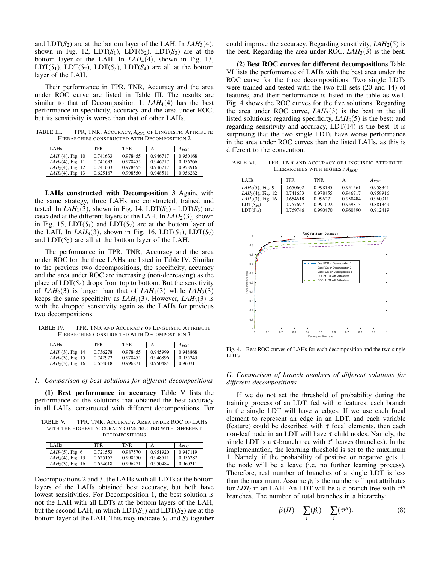and  $LDT(S_2)$  are at the bottom layer of the LAH. In  $LAH_3(4)$ , shown in Fig. 12,  $LDT(S_1)$ ,  $LDT(S_2)$ ,  $LDT(S_3)$  are at the bottom layer of the LAH. In  $LAH_4(4)$ , shown in Fig. 13, LDT( $S_1$ ), LDT( $S_2$ ), LDT( $S_3$ ), LDT( $S_4$ ) are all at the bottom layer of the LAH.

Their performance in TPR, TNR, Accuracy and the area under ROC curve are listed in Table III. The results are similar to that of Decomposition 1.  $LAH<sub>4</sub>(4)$  has the best performance in specificity, accuracy and the area under ROC, but its sensitivity is worse than that of other LAHs.

TABLE III. TPR, TNR, ACCURACY, *AROC* OF LINGUISTIC ATTRIBUTE HIERARCHIES CONSTRUCTED WITH DECOMPOSITION 2

| LAHs.                | TPR      | TNR      | Α        | $A_{ROC}$ |
|----------------------|----------|----------|----------|-----------|
| $LAH_1(4)$ , Fig. 10 | 0.741633 | 0.978455 | 0.946717 | 0.950168  |
| $LAH_2(4)$ , Fig. 11 | 0.741633 | 0.978455 | 0.946717 | 0.956266  |
| $LAH_3(4)$ , Fig. 12 | 0.741633 | 0.978455 | 0.946717 | 0.958916  |
| $LAH_4(4)$ , Fig. 13 | 0.625167 | 0.998550 | 0.948511 | 0.956282  |

LAHs constructed with Decomposition 3 Again, with the same strategy, three LAHs are constructed, trained and tested. In  $LAH_1(3)$ , shown in Fig. 14,  $LDT(S_1)$  -  $LDT(S_3)$  are cascaded at the different layers of the LAH. In  $LAH_2(3)$ , shown in Fig. 15,  $LDT(S_1)$  and  $LDT(S_2)$  are at the bottom layer of the LAH. In  $LAH_3(3)$ , shown in Fig. 16, LDT( $S_1$ ), LDT( $S_2$ ) and  $LDT(S_3)$  are all at the bottom layer of the LAH.

The performance in TPR, TNR, Accuracy and the area under ROC for the three LAHs are listed in Table IV. Similar to the previous two decompositions, the specificity, accuracy and the area under ROC are increasing (non-decreasing) as the place of  $LDT(S_4)$  drops from top to bottom. But the sensitivity of *LAH*<sub>2</sub>(3) is larger than that of *LAH*<sub>1</sub>(3) while *LAH*<sub>2</sub>(3) keeps the same specificity as  $LAH_1(3)$ . However,  $LAH_3(3)$  is with the dropped sensitivity again as the LAHs for previous two decompositions.

TABLE IV. TPR, TNR AND ACCURACY OF LINGUISTIC ATTRIBUTE HIERARCHIES CONSTRUCTED WITH DECOMPOSITION 3

| LAH <sub>s</sub>     | <b>TPR</b> | TNR      |          | A <sub>ROC</sub> |  |
|----------------------|------------|----------|----------|------------------|--|
| $LAH_1(3)$ , Fig. 14 | 0.736278   | 0.978455 | 0.945999 | 0.948868         |  |
| $LAH_2(3)$ , Fig. 15 | 0.742972   | 0.978455 | 0.946896 | 0.955243         |  |
| $LAH_3(3)$ , Fig. 16 | 0.654618   | 0.996271 | 0.950484 | 0.960311         |  |

#### *F. Comparison of best solutions for different decompositions*

(1) Best performance in accuracy Table V lists the performance of the solutions that obtained the best accuracy in all LAHs, constructed with different decompositions. For

TABLE V. TPR, TNR, ACCURACY, AREA UNDER ROC OF LAHS WITH THE HIGHEST ACCURACY CONSTRUCTED WITH DIFFERENT DECOMPOSITIONS

| LAHs.                                       | <b>TPR</b>           | <b>TNR</b>           | А                    | $A_{ROC}$            |
|---------------------------------------------|----------------------|----------------------|----------------------|----------------------|
| $LAH_2(5)$ , Fig. 6<br>$LAH_4(4)$ , Fig. 13 | 0.721553<br>0.625167 | 0.987570<br>0.998550 | 0.951920<br>0.948511 | 0.947119<br>0.956282 |
| $LAH_3(3)$ , Fig. 16                        | 0.654618             | 0.996271             | 0.950484             | 0.960311             |

Decompositions 2 and 3, the LAHs with all LDTs at the bottom layers of the LAHs obtained best accuracy, but both have lowest sensitivities. For Decomposition 1, the best solution is not the LAH with all LDTs at the bottom layers of the LAH, but the second LAH, in which  $LDT(S_1)$  and  $LDT(S_2)$  are at the bottom layer of the LAH. This may indicate  $S_1$  and  $S_2$  together could improve the accuracy. Regarding sensitivity,  $LAH<sub>2</sub>(5)$  is the best. Regarding the area under ROC,  $LAH_3(3)$  is the best.

(2) Best ROC curves for different decompositions Table VI lists the performance of LAHs with the best area under the ROC curve for the three decompositions. Two single LDTs were trained and tested with the two full sets (20 and 14) of features, and their performance is listed in the table as well. Fig. 4 shows the ROC curves for the five solutions. Regarding the area under ROC curve,  $LAH<sub>3</sub>(3)$  is the best in the all listed solutions; regarding specificity,  $LAH<sub>5</sub>(5)$  is the best; and regarding sensitivity and accuracy, LDT(14) is the best. It is surprising that the two single LDTs have worse performance in the area under ROC curves than the listed LAHs, as this is different to the convention.

TABLE VI. TPR, TNR AND ACCURACY OF LINGUISTIC ATTRIBUTE HIERARCHIES WITH HIGHEST *AROC*

| LAH <sub>s</sub>      | <b>TPR</b> | TNR      | А        | $A_{ROC}$ |
|-----------------------|------------|----------|----------|-----------|
| $LAH5(5)$ , Fig. 9    | 0.650602   | 0.998135 | 0.951561 | 0.958341  |
| $LAH_3(4)$ , Fig. 12  | 0.741633   | 0.978455 | 0.946717 | 0.958916  |
| $LAH_3(3)$ , Fig. 16  | 0.654618   | 0.996271 | 0.950484 | 0.960311  |
| $LDT(S_{20})$         | 0.757697   | 0.991092 | 0.959813 | 0.881349  |
| LDT(S <sub>14</sub> ) | 0.769746   | 0.990470 | 0.960890 | 0.912419  |



Fig. 4. Best ROC curves of LAHs for each decomposition and the two single LDTs

*G. Comparison of branch numbers of different solutions for different decompositions*

If we do not set the threshold of probability during the training process of an LDT, fed with *n* features, each branch in the single LDT will have *n* edges. If we use each focal element to represent an edge in an LDT, and each variable (feature) could be described with  $\tau$  focal elements, then each non-leaf node in an LDT will have  $\tau$  child nodes. Namely, the single LDT is a  $\tau$ -branch tree with  $\tau^n$  leaves (branches). In the implementation, the learning threshold is set to the maximum 1. Namely, if the probability of positive or negative gets 1, the node will be a leave (i.e. no further learning process). Therefore, real number of branches of a single LDT is less than the maximum. Assume  $\rho_i$  is the number of input attributes for *LDT<sub>i</sub>* in an LAH. An LDT will be a  $\tau$ -branch tree with  $\tau^{\rho_i}$ branches. The number of total branches in a hierarchy:

$$
\beta(H) = \sum_{i} (\beta_i) = \sum_{i} (\tau^{\rho_i}). \tag{8}
$$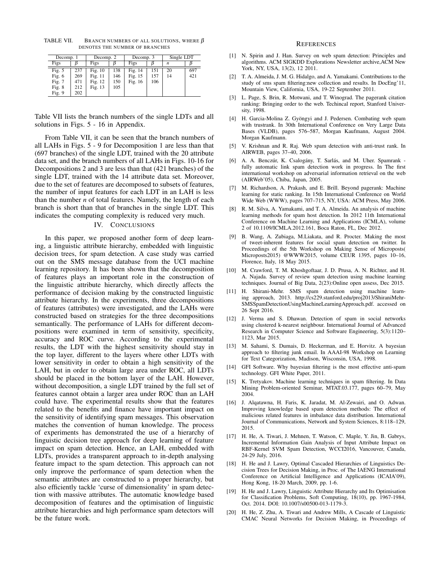TABLE VII. BRANCH NUMBERS OF ALL SOLUTIONS, WHERE  $\beta$ DENOTES THE NUMBER OF BRANCHES

| Decomp. 1 |     | Decomp. 2 |     | Decomp. 3 |     | Single LDT |     |
|-----------|-----|-----------|-----|-----------|-----|------------|-----|
| Figs      |     | Figs      |     | Figs      |     | n          |     |
| Fig. 5    | 237 | Fig. 10   | 138 | Fig. 14   | 151 | 20         | 697 |
| Fig. $6$  | 269 | Fig. 11   | 146 | Fig. 15   | 157 | 14         | 421 |
| Fig. 7    | 471 | Fig. 12   | 150 | Fig. 16   | 106 |            |     |
| Fig. 8    | 212 | Fig. 13   | 105 |           |     |            |     |
| Fig. 9    | 202 |           |     |           |     |            |     |

Table VII lists the branch numbers of the single LDTs and all solutions in Figs. 5 - 16 in Appendix.

From Table VII, it can be seen that the branch numbers of all LAHs in Figs. 5 - 9 for Decomposition 1 are less than that (697 branches) of the single LDT, trained with the 20 attribute data set, and the branch numbers of all LAHs in Figs. 10-16 for Decompositions 2 and 3 are less than that (421 branches) of the single LDT, trained with the 14 attribute data set. Moreover, due to the set of features are decomposed to subsets of features, the number of input features for each LDT in an LAH is less than the number *n* of total features. Namely, the length of each branch is short than that of branches in the single LDT. This indicates the computing complexity is reduced very much.

#### IV. CONCLUSIONS

In this paper, we proposed another form of deep learning, a linguistic attribute hierarchy, embedded with linguistic decision trees, for spam detection. A case study was carried out on the SMS message database from the UCI machine learning repository. It has been shown that the decomposition of features plays an important role in the construction of the linguistic attribute hierarchy, which directly affects the performance of decision making by the constructed linguistic attribute hierarchy. In the experiments, three decompositions of features (attributes) were investigated, and the LAHs were constructed based on strategies for the three decompositions semantically. The performance of LAHs for different decompositions were examined in term of sensitivity, specificity, accuracy and ROC curve. According to the experimental results, the LDT with the highest sensitivity should stay in the top layer, different to the layers where other LDTs with lower sensitivity in order to obtain a high sensitivity of the LAH, but in order to obtain large area under ROC, all LDTs should be placed in the bottom layer of the LAH. However, without decomposition, a single LDT trained by the full set of features cannot obtain a larger area under ROC than an LAH could have. The experimental results show that the features related to the benefits and finance have important impact on the sensitivity of identifying spam messages. This observation matches the convention of human knowledge. The process of experiments has demonstrated the use of a hierarchy of linguistic decision tree approach for deep learning of feature impact on spam detection. Hence, an LAH, embedded with LDTs, provides a transparent approach to in-depth analysing feature impact to the spam detection. This approach can not only improve the performance of spam detection when the semantic attributes are constructed to a proper hierarchy, but also efficiently tackle 'curse of dimensionality' in spam detection with massive attributes. The automatic knowledge based decomposition of features and the optimisation of linguistic attribute hierarchies and high performance spam detectors will be the future work.

#### **REFERENCES**

- [1] N. Spirin and J. Han. Survey on web spam detection: Principles and algorithms. ACM SIGKDD Explorations Newsletter archive,ACM New York, NY, USA, 13(2), 12 2011.
- [2] T. A. Almeida, J. M. G. Hidalgo, and A. Yamakami. Contributions to the study of sms spam filtering:new collection and results. In DocEng'11, Mountain View, California, USA, 19-22 September 2011.
- [3] L. Page, S. Brin, R. Motwani, and T. Winograd. The pagerank citation ranking: Bringing order to the web. Techincal report, Stanford University, 1998.
- [4] H. Garcia-Molina Z. Gyöngyi and J. Pedersen. Combating web spam with trustrank. In 30th International Conference on Very Large Data Bases (VLDB), pages 576–587, Morgan Kaufmann, August 2004. Morgan Kaufmann.
- [5] V. Krishnan and R. Raj. Web spam detection with anti-trust rank. In AIRWEB, pages 37–40, 2006.
- [6] A. A. Benczúr, K. Csalogány, T. Sarlás, and M. Uher. Spamrank fully automatic link spam detection work in progress. In The first international workshop on adversarial information retrieval on the web (AIRWeb'05), Chiba, Japan, 2005.
- [7] M. Richardson, A. Prakash, and E. Brill. Beyond pagerank: Machine learning for static ranking. In 15th International Conference on World Wide Web (WWW), pages 707–715, NY, USA: ACM Press, May 2006.
- [8] R. M. Silva, A. Yamakami, and T. A. Almeida. An analysis of machine learning methods for spam host detection. In 2012 11th International Conference on Machine Learning and Applications (ICMLA), volume 2 of 10.1109/ICMLA.2012.161, Boca Raton, FL, Dec 2012.
- [9] B. Wang, A. Zubiaga, M.Liakata, and R. Procter. Making the most of tweet-inherent features for social spam detection on twitter. In Proceedings of the 5th Workshop on Making Sense of Microposts( Microposts2015) @WWW2015, volume CEUR 1395, pages 10–16, Florence, Italy, 18 May 2015.
- [10] M. Crawford, T. M. Khoshgoftaar, J. D. Prusa, A. N. Richter, and H. A. Najada. Survey of review spam detection using machine learning techniques. Journal of Big Data, 2(23):Online open assess, Dec 2015.
- [11] H. Shirani-Mehr. SMS spam detection using machine learning approach, 2013. http://cs229.stanford.edu/proj2013/ShiraniMehr-SMSSpamDetectionUsingMachineLearningApproach.pdf. accessed on 26 Sept 2016.
- [12] J. Verma and S. Dhawan. Detection of spam in social networks using clustered k-nearest neighbour. International Journal of Advanced Research in Computer Science and Software Engineering, 5(3):1120– 1123, Mar 2015.
- [13] M. Sahami, S. Dumais, D. Heckerman, and E. Horvitz. A bayesian approach to filtering junk email. In AAAI-98 Workshop on Learning for Text Categorization, Madison, Wisconsin, USA, 1998.
- [14] GFI Software. Why bayesian filtering is the most effective anti-spam technology. GFI White Paper, 2011.
- [15] K. Tretyakov. Machine learning techniques in spam filtering. In Data Mining Problem-oriented Seminar, MTAT.03.177, pages 60–79, May 2004.
- [16] J. Alqatawna, H. Faris, K. Jaradat, M. Al-Zewairi, and O. Adwan. Improving knowledge based spam detection methods: The effect of malicious related features in imbalance data distribution. International Journal of Communications, Network and System Sciences, 8:118–129, 2015.
- [17] H. He, A. Tiwari, J. Mehnen, T. Watson, C. Maple, Y. Jin, B. Gabrys, Incremental Information Gain Analysis of Input Attribute Impact on RBF-Kernel SVM Spam Detection, WCCI2016, Vancouver, Canada, 24-29 July, 2016.
- [18] H. He and J. Lawry, Optimal Cascaded Hierarchies of Linguistics Decision Trees for Decision Making, in Proc. of The IAENG International Conference on Artificial Intelligence and Applications (ICAIA'09), Hong Kong, 18-20 March, 2009, pp. 1-6.
- [19] H. He and J. Lawry, Linguistic Attribute Hierarchy and Its Optimisation for Classification Problems, Soft Computing, 18(10), pp. 1967-1984, Oct. 2014. DOI: 10.1007/s00500-013-1179-3.
- [20] H. He, Z. Zhu, A. Tiwari and Andrew Mills, A Cascade of Linguistic CMAC Neural Networks for Decision Making, in Proceedings of